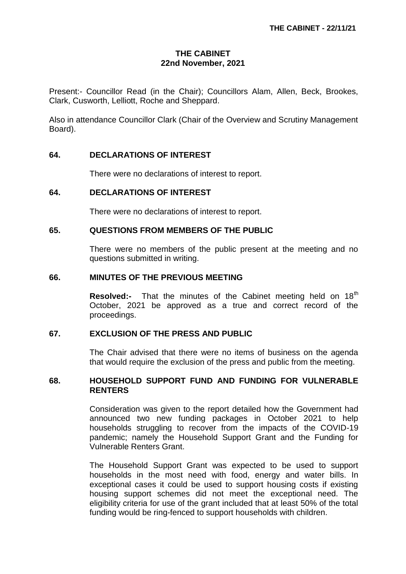# **THE CABINET 22nd November, 2021**

Present:- Councillor Read (in the Chair); Councillors Alam, Allen, Beck, Brookes, Clark, Cusworth, Lelliott, Roche and Sheppard.

Also in attendance Councillor Clark (Chair of the Overview and Scrutiny Management Board).

# **64. DECLARATIONS OF INTEREST**

There were no declarations of interest to report.

# **64. DECLARATIONS OF INTEREST**

There were no declarations of interest to report.

#### **65. QUESTIONS FROM MEMBERS OF THE PUBLIC**

There were no members of the public present at the meeting and no questions submitted in writing.

#### **66. MINUTES OF THE PREVIOUS MEETING**

**Resolved:-** That the minutes of the Cabinet meeting held on 18<sup>th</sup> October, 2021 be approved as a true and correct record of the proceedings.

### **67. EXCLUSION OF THE PRESS AND PUBLIC**

The Chair advised that there were no items of business on the agenda that would require the exclusion of the press and public from the meeting.

# **68. HOUSEHOLD SUPPORT FUND AND FUNDING FOR VULNERABLE RENTERS**

Consideration was given to the report detailed how the Government had announced two new funding packages in October 2021 to help households struggling to recover from the impacts of the COVID-19 pandemic; namely the Household Support Grant and the Funding for Vulnerable Renters Grant.

The Household Support Grant was expected to be used to support households in the most need with food, energy and water bills. In exceptional cases it could be used to support housing costs if existing housing support schemes did not meet the exceptional need. The eligibility criteria for use of the grant included that at least 50% of the total funding would be ring-fenced to support households with children.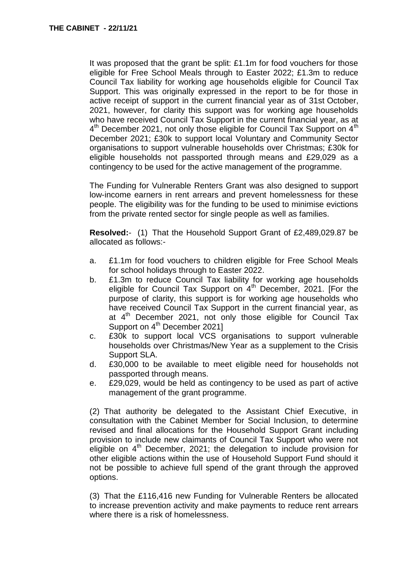It was proposed that the grant be split: £1.1m for food vouchers for those eligible for Free School Meals through to Easter 2022; £1.3m to reduce Council Tax liability for working age households eligible for Council Tax Support. This was originally expressed in the report to be for those in active receipt of support in the current financial year as of 31st October, 2021, however, for clarity this support was for working age households who have received Council Tax Support in the current financial year, as at 4<sup>th</sup> December 2021, not only those eligible for Council Tax Support on 4<sup>th</sup> December 2021; £30k to support local Voluntary and Community Sector organisations to support vulnerable households over Christmas; £30k for eligible households not passported through means and £29,029 as a contingency to be used for the active management of the programme.

The Funding for Vulnerable Renters Grant was also designed to support low-income earners in rent arrears and prevent homelessness for these people. The eligibility was for the funding to be used to minimise evictions from the private rented sector for single people as well as families.

**Resolved:**- (1) That the Household Support Grant of £2,489,029.87 be allocated as follows:-

- a. £1.1m for food vouchers to children eligible for Free School Meals for school holidays through to Easter 2022.
- b. £1.3m to reduce Council Tax liability for working age households eligible for Council Tax Support on  $4<sup>th</sup>$  December, 2021. [For the purpose of clarity, this support is for working age households who have received Council Tax Support in the current financial year, as at  $4<sup>th</sup>$  December 2021, not only those eligible for Council Tax Support on 4<sup>th</sup> December 2021]
- c. £30k to support local VCS organisations to support vulnerable households over Christmas/New Year as a supplement to the Crisis Support SLA.
- d. £30,000 to be available to meet eligible need for households not passported through means.
- e. £29,029, would be held as contingency to be used as part of active management of the grant programme.

(2) That authority be delegated to the Assistant Chief Executive, in consultation with the Cabinet Member for Social Inclusion, to determine revised and final allocations for the Household Support Grant including provision to include new claimants of Council Tax Support who were not eligible on  $4<sup>th</sup>$  December, 2021; the delegation to include provision for other eligible actions within the use of Household Support Fund should it not be possible to achieve full spend of the grant through the approved options.

(3) That the £116,416 new Funding for Vulnerable Renters be allocated to increase prevention activity and make payments to reduce rent arrears where there is a risk of homelessness.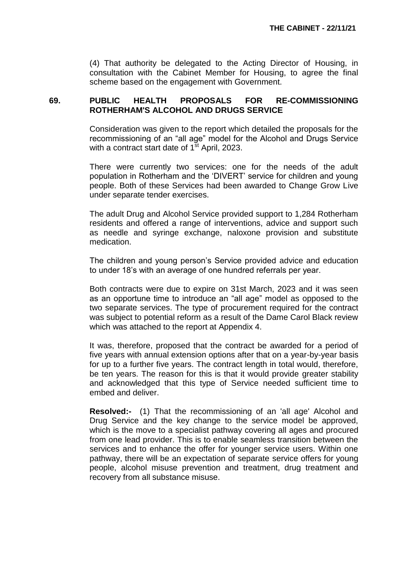(4) That authority be delegated to the Acting Director of Housing, in consultation with the Cabinet Member for Housing, to agree the final scheme based on the engagement with Government.

# **69. PUBLIC HEALTH PROPOSALS FOR RE-COMMISSIONING ROTHERHAM'S ALCOHOL AND DRUGS SERVICE**

Consideration was given to the report which detailed the proposals for the recommissioning of an "all age" model for the Alcohol and Drugs Service with a contract start date of  $1<sup>st</sup>$  April, 2023.

There were currently two services: one for the needs of the adult population in Rotherham and the 'DIVERT' service for children and young people. Both of these Services had been awarded to Change Grow Live under separate tender exercises.

The adult Drug and Alcohol Service provided support to 1,284 Rotherham residents and offered a range of interventions, advice and support such as needle and syringe exchange, naloxone provision and substitute medication.

The children and young person's Service provided advice and education to under 18's with an average of one hundred referrals per year.

Both contracts were due to expire on 31st March, 2023 and it was seen as an opportune time to introduce an "all age" model as opposed to the two separate services. The type of procurement required for the contract was subject to potential reform as a result of the Dame Carol Black review which was attached to the report at Appendix 4.

It was, therefore, proposed that the contract be awarded for a period of five years with annual extension options after that on a year-by-year basis for up to a further five years. The contract length in total would, therefore, be ten years. The reason for this is that it would provide greater stability and acknowledged that this type of Service needed sufficient time to embed and deliver.

**Resolved:-** (1)That the recommissioning of an 'all age' Alcohol and Drug Service and the key change to the service model be approved, which is the move to a specialist pathway covering all ages and procured from one lead provider. This is to enable seamless transition between the services and to enhance the offer for younger service users. Within one pathway, there will be an expectation of separate service offers for young people, alcohol misuse prevention and treatment, drug treatment and recovery from all substance misuse.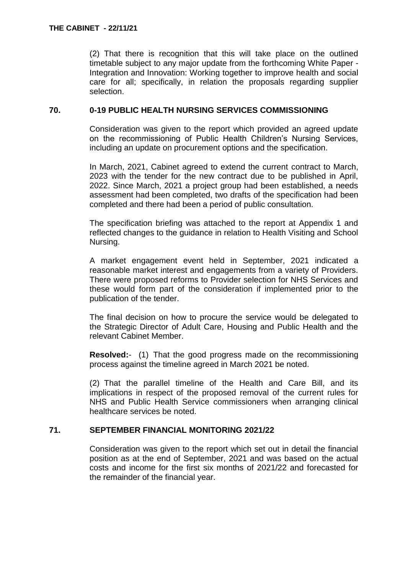(2) That there is recognition that this will take place on the outlined timetable subject to any major update from the forthcoming White Paper - Integration and Innovation: Working together to improve health and social care for all; specifically, in relation the proposals regarding supplier selection.

# **70. 0-19 PUBLIC HEALTH NURSING SERVICES COMMISSIONING**

Consideration was given to the report which provided an agreed update on the recommissioning of Public Health Children's Nursing Services, including an update on procurement options and the specification.

In March, 2021, Cabinet agreed to extend the current contract to March, 2023 with the tender for the new contract due to be published in April, 2022. Since March, 2021 a project group had been established, a needs assessment had been completed, two drafts of the specification had been completed and there had been a period of public consultation.

The specification briefing was attached to the report at Appendix 1 and reflected changes to the guidance in relation to Health Visiting and School Nursing.

A market engagement event held in September, 2021 indicated a reasonable market interest and engagements from a variety of Providers. There were proposed reforms to Provider selection for NHS Services and these would form part of the consideration if implemented prior to the publication of the tender.

The final decision on how to procure the service would be delegated to the Strategic Director of Adult Care, Housing and Public Health and the relevant Cabinet Member.

**Resolved:**- (1) That the good progress made on the recommissioning process against the timeline agreed in March 2021 be noted.

(2) That the parallel timeline of the Health and Care Bill, and its implications in respect of the proposed removal of the current rules for NHS and Public Health Service commissioners when arranging clinical healthcare services be noted.

# **71. SEPTEMBER FINANCIAL MONITORING 2021/22**

Consideration was given to the report which set out in detail the financial position as at the end of September, 2021 and was based on the actual costs and income for the first six months of 2021/22 and forecasted for the remainder of the financial year.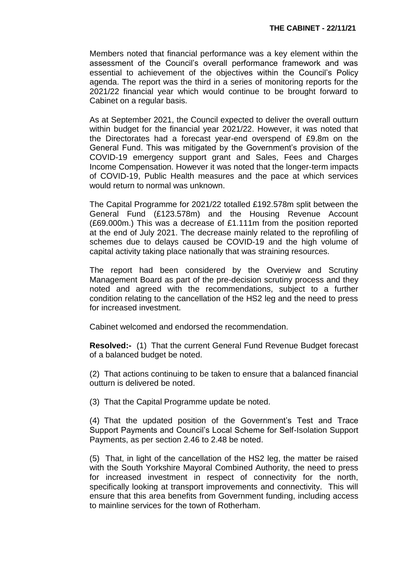Members noted that financial performance was a key element within the assessment of the Council's overall performance framework and was essential to achievement of the objectives within the Council's Policy agenda. The report was the third in a series of monitoring reports for the 2021/22 financial year which would continue to be brought forward to Cabinet on a regular basis.

As at September 2021, the Council expected to deliver the overall outturn within budget for the financial year 2021/22. However, it was noted that the Directorates had a forecast year-end overspend of £9.8m on the General Fund. This was mitigated by the Government's provision of the COVID-19 emergency support grant and Sales, Fees and Charges Income Compensation. However it was noted that the longer-term impacts of COVID-19, Public Health measures and the pace at which services would return to normal was unknown.

The Capital Programme for 2021/22 totalled £192.578m split between the General Fund (£123.578m) and the Housing Revenue Account (£69.000m.) This was a decrease of £1.111m from the position reported at the end of July 2021. The decrease mainly related to the reprofiling of schemes due to delays caused be COVID-19 and the high volume of capital activity taking place nationally that was straining resources.

The report had been considered by the Overview and Scrutiny Management Board as part of the pre-decision scrutiny process and they noted and agreed with the recommendations, subject to a further condition relating to the cancellation of the HS2 leg and the need to press for increased investment.

Cabinet welcomed and endorsed the recommendation.

**Resolved:-** (1)That the current General Fund Revenue Budget forecast of a balanced budget be noted.

(2) That actions continuing to be taken to ensure that a balanced financial outturn is delivered be noted.

(3) That the Capital Programme update be noted.

(4) That the updated position of the Government's Test and Trace Support Payments and Council's Local Scheme for Self-Isolation Support Payments, as per section 2.46 to 2.48 be noted.

(5) That, in light of the cancellation of the HS2 leg, the matter be raised with the South Yorkshire Mayoral Combined Authority, the need to press for increased investment in respect of connectivity for the north, specifically looking at transport improvements and connectivity. This will ensure that this area benefits from Government funding, including access to mainline services for the town of Rotherham.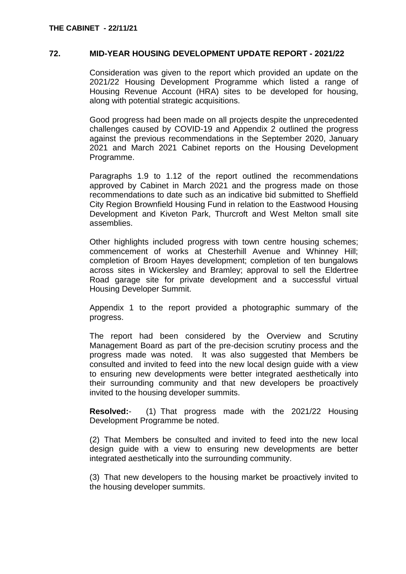### **72. MID-YEAR HOUSING DEVELOPMENT UPDATE REPORT - 2021/22**

Consideration was given to the report which provided an update on the 2021/22 Housing Development Programme which listed a range of Housing Revenue Account (HRA) sites to be developed for housing, along with potential strategic acquisitions.

Good progress had been made on all projects despite the unprecedented challenges caused by COVID-19 and Appendix 2 outlined the progress against the previous recommendations in the September 2020, January 2021 and March 2021 Cabinet reports on the Housing Development Programme.

Paragraphs 1.9 to 1.12 of the report outlined the recommendations approved by Cabinet in March 2021 and the progress made on those recommendations to date such as an indicative bid submitted to Sheffield City Region Brownfield Housing Fund in relation to the Eastwood Housing Development and Kiveton Park, Thurcroft and West Melton small site assemblies.

Other highlights included progress with town centre housing schemes; commencement of works at Chesterhill Avenue and Whinney Hill; completion of Broom Hayes development; completion of ten bungalows across sites in Wickersley and Bramley; approval to sell the Eldertree Road garage site for private development and a successful virtual Housing Developer Summit.

Appendix 1 to the report provided a photographic summary of the progress.

The report had been considered by the Overview and Scrutiny Management Board as part of the pre-decision scrutiny process and the progress made was noted. It was also suggested that Members be consulted and invited to feed into the new local design guide with a view to ensuring new developments were better integrated aesthetically into their surrounding community and that new developers be proactively invited to the housing developer summits.

**Resolved:**- (1) That progress made with the 2021/22 Housing Development Programme be noted.

(2) That Members be consulted and invited to feed into the new local design guide with a view to ensuring new developments are better integrated aesthetically into the surrounding community.

(3) That new developers to the housing market be proactively invited to the housing developer summits.